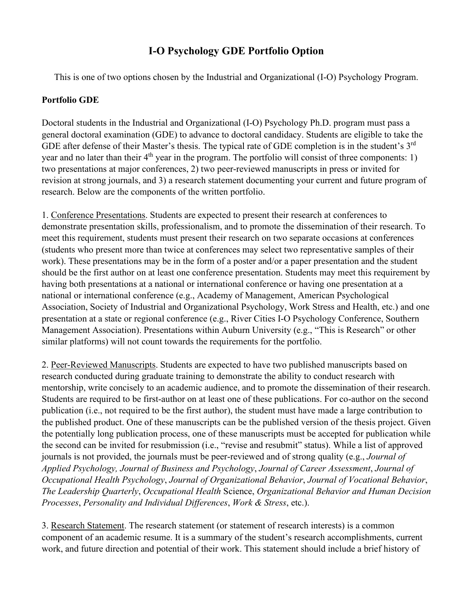# **I-O Psychology GDE Portfolio Option**

This is one of two options chosen by the Industrial and Organizational (I-O) Psychology Program.

## **Portfolio GDE**

Doctoral students in the Industrial and Organizational (I-O) Psychology Ph.D. program must pass a general doctoral examination (GDE) to advance to doctoral candidacy. Students are eligible to take the GDE after defense of their Master's thesis. The typical rate of GDE completion is in the student's 3<sup>rd</sup> year and no later than their  $4<sup>th</sup>$  year in the program. The portfolio will consist of three components: 1) two presentations at major conferences, 2) two peer-reviewed manuscripts in press or invited for revision at strong journals, and 3) a research statement documenting your current and future program of research. Below are the components of the written portfolio.

1. Conference Presentations. Students are expected to present their research at conferences to demonstrate presentation skills, professionalism, and to promote the dissemination of their research. To meet this requirement, students must present their research on two separate occasions at conferences (students who present more than twice at conferences may select two representative samples of their work). These presentations may be in the form of a poster and/or a paper presentation and the student should be the first author on at least one conference presentation. Students may meet this requirement by having both presentations at a national or international conference or having one presentation at a national or international conference (e.g., Academy of Management, American Psychological Association, Society of Industrial and Organizational Psychology, Work Stress and Health, etc.) and one presentation at a state or regional conference (e.g., River Cities I-O Psychology Conference, Southern Management Association). Presentations within Auburn University (e.g., "This is Research" or other similar platforms) will not count towards the requirements for the portfolio.

2. Peer-Reviewed Manuscripts. Students are expected to have two published manuscripts based on research conducted during graduate training to demonstrate the ability to conduct research with mentorship, write concisely to an academic audience, and to promote the dissemination of their research. Students are required to be first-author on at least one of these publications. For co-author on the second publication (i.e., not required to be the first author), the student must have made a large contribution to the published product. One of these manuscripts can be the published version of the thesis project. Given the potentially long publication process, one of these manuscripts must be accepted for publication while the second can be invited for resubmission (i.e., "revise and resubmit" status). While a list of approved journals is not provided, the journals must be peer-reviewed and of strong quality (e.g., *Journal of Applied Psychology, Journal of Business and Psychology*, *Journal of Career Assessment*, *Journal of Occupational Health Psychology*, *Journal of Organizational Behavior*, *Journal of Vocational Behavior*, *The Leadership Quarterly*, *Occupational Health* Science, *Organizational Behavior and Human Decision Processes*, *Personality and Individual Differences*, *Work & Stress*, etc.).

3. Research Statement. The research statement (or statement of research interests) is a common component of an academic resume. It is a summary of the student's research accomplishments, current work, and future direction and potential of their work. This statement should include a brief history of